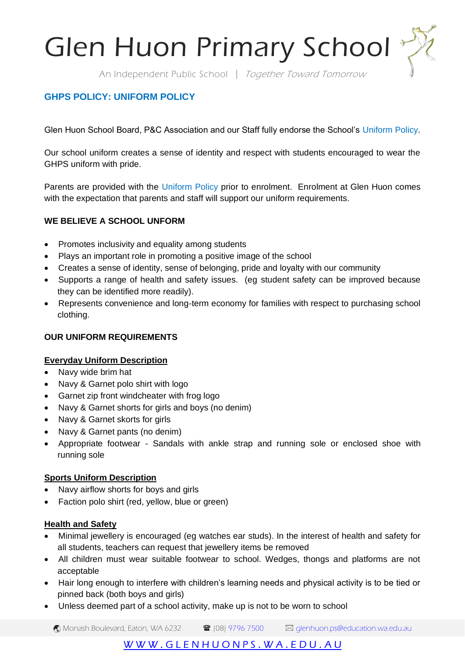Glen Huon Primary School

An Independent Public School | Together Toward Tomorrow

# **GHPS POLICY: UNIFORM POLICY**

Glen Huon School Board, P&C Association and our Staff fully endorse the School's Uniform Policy.

Our school uniform creates a sense of identity and respect with students encouraged to wear the GHPS uniform with pride.

Parents are provided with the Uniform Policy prior to enrolment. Enrolment at Glen Huon comes with the expectation that parents and staff will support our uniform requirements.

### **WE BELIEVE A SCHOOL UNFORM**

- Promotes inclusivity and equality among students
- Plays an important role in promoting a positive image of the school
- Creates a sense of identity, sense of belonging, pride and loyalty with our community
- Supports a range of health and safety issues. (eg student safety can be improved because they can be identified more readily).
- Represents convenience and long-term economy for families with respect to purchasing school clothing.

## **OUR UNIFORM REQUIREMENTS**

#### **Everyday Uniform Description**

- Navy wide brim hat
- Navy & Garnet polo shirt with logo
- Garnet zip front windcheater with frog logo
- Navy & Garnet shorts for girls and boys (no denim)
- Navy & Garnet skorts for girls
- Navy & Garnet pants (no denim)
- Appropriate footwear Sandals with ankle strap and running sole or enclosed shoe with running sole

#### **Sports Uniform Description**

- Navy airflow shorts for boys and girls
- Faction polo shirt (red, yellow, blue or green)

#### **Health and Safety**

- Minimal jewellery is encouraged (eg watches ear studs). In the interest of health and safety for all students, teachers can request that jewellery items be removed
- All children must wear suitable footwear to school. Wedges, thongs and platforms are not acceptable
- Hair long enough to interfere with children's learning needs and physical activity is to be tied or pinned back (both boys and girls)
- Unless deemed part of a school activity, make up is not to be worn to school